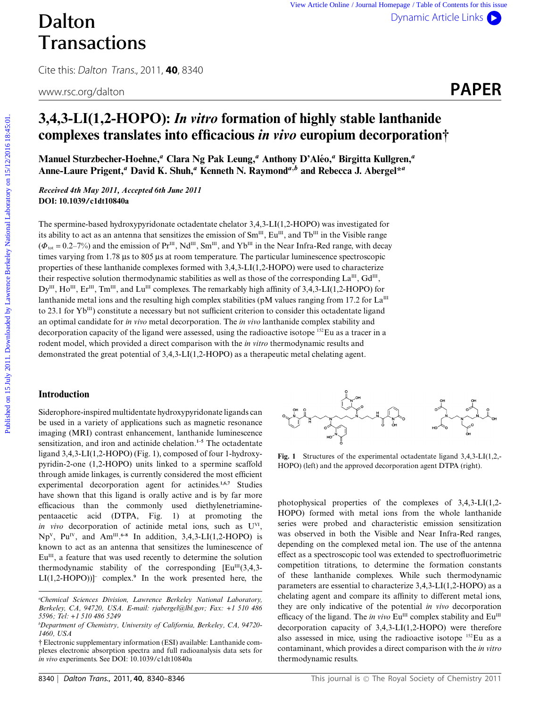# Dalton **Transactions**

Cite this: Dalton Trans., 2011, **40**, 8340



## **3,4,3-LI(1,2-HOPO):** *In vitro* **formation of highly stable lanthanide complexes translates into efficacious** *in vivo* **europium decorporation†**

**Manuel Sturzbecher-Hoehne,***<sup>a</sup>* **Clara Ng Pak Leung,***<sup>a</sup>* **Anthony D'Aleo, ´** *<sup>a</sup>* **Birgitta Kullgren,***<sup>a</sup>* **Anne-Laure Prigent,***<sup>a</sup>* **David K. Shuh,***<sup>a</sup>* **Kenneth N. Raymond***<sup>a</sup>,<sup>b</sup>* **and Rebecca J. Abergel\****<sup>a</sup>*

*Received 4th May 2011, Accepted 6th June 2011* **DOI: 10.1039/c1dt10840a**

The spermine-based hydroxypyridonate octadentate chelator 3,4,3-LI(1,2-HOPO) was investigated for its ability to act as an antenna that sensitizes the emission of  $Sm<sup>III</sup>$ , Eu<sup>III</sup>, and Tb<sup>III</sup> in the Visible range  $(\Phi_{\text{tot}} = 0.2-7\%)$  and the emission of Pr<sup>III</sup>, Nd<sup>III</sup>, Sm<sup>III</sup>, and Yb<sup>III</sup> in the Near Infra-Red range, with decay times varying from 1.78 µs to 805 µs at room temperature. The particular luminescence spectroscopic properties of these lanthanide complexes formed with 3,4,3-LI(1,2-HOPO) were used to characterize their respective solution thermodynamic stabilities as well as those of the corresponding  $La^{III}$ ,  $Gd^{III}$ , Dy<sup>III</sup>, Ho<sup>III</sup>, Er<sup>III</sup>, Tm<sup>III</sup>, and Lu<sup>III</sup> complexes. The remarkably high affinity of 3,4,3-LI(1,2-HOPO) for lanthanide metal ions and the resulting high complex stabilities (pM values ranging from 17.2 for  $La<sup>III</sup>$ to 23.1 for  $Yb^{III}$ ) constitute a necessary but not sufficient criterion to consider this octadentate ligand an optimal candidate for *in vivo* metal decorporation. The *in vivo* lanthanide complex stability and decorporation capacity of the ligand were assessed, using the radioactive isotope 152Eu as a tracer in a rodent model, which provided a direct comparison with the *in vitro* thermodynamic results and demonstrated the great potential of 3,4,3-LI(1,2-HOPO) as a therapeutic metal chelating agent. **Published on 15 Automobility 2011. 40.** S340<br> **PAPER**<br>
Cite this Color *Leage, 2011.* **40.** S340<br>
wow.sc.org/dalton<br> **3.4,3-L1(1,2-H1OPO):** *In viro* **formation of highly stable lanthanide**<br> **complexes translates into ef** 

## **Introduction**

Siderophore-inspired multidentate hydroxypyridonate ligands can be used in a variety of applications such as magnetic resonance imaging (MRI) contrast enhancement, lanthanide luminescence sensitization, and iron and actinide chelation.**1–5** The octadentate ligand 3,4,3-LI(1,2-HOPO) (Fig. 1), composed of four 1-hydroxypyridin-2-one (1,2-HOPO) units linked to a spermine scaffold through amide linkages, is currently considered the most efficient experimental decorporation agent for actinides.**1,6,7** Studies have shown that this ligand is orally active and is by far more efficacious than the commonly used diethylenetriaminepentaacetic acid (DTPA, Fig. 1) at promoting the *in vivo* decorporation of actinide metal ions, such as U<sup>VI</sup>, Np<sup>v</sup>, Pu<sup>IV</sup>, and Am<sup>III</sup>.<sup>6-8</sup> In addition, 3,4,3-LI(1,2-HOPO) is known to act as an antenna that sensitizes the luminescence of  $Eu<sup>III</sup>$ , a feature that was used recently to determine the solution thermodynamic stability of the corresponding  $[Eu^{III}(3,4,3-$ LI(1,2-HOPO))]- complex.**<sup>9</sup>** In the work presented here, the



**Fig. 1** Structures of the experimental octadentate ligand 3,4,3-LI(1,2,- HOPO) (left) and the approved decorporation agent DTPA (right).

photophysical properties of the complexes of 3,4,3-LI(1,2- HOPO) formed with metal ions from the whole lanthanide series were probed and characteristic emission sensitization was observed in both the Visible and Near Infra-Red ranges, depending on the complexed metal ion. The use of the antenna effect as a spectroscopic tool was extended to spectrofluorimetric competition titrations, to determine the formation constants of these lanthanide complexes. While such thermodynamic parameters are essential to characterize 3,4,3-LI(1,2-HOPO) as a chelating agent and compare its affinity to different metal ions, they are only indicative of the potential *in vivo* decorporation efficacy of the ligand. The *in vivo*  $Eu^{III}$  complex stability and  $Eu^{III}$ decorporation capacity of 3,4,3-LI(1,2-HOPO) were therefore also assessed in mice, using the radioactive isotope 152Eu as a contaminant, which provides a direct comparison with the *in vitro* thermodynamic results.

*a Chemical Sciences Division, Lawrence Berkeley National Laboratory, Berkeley, CA, 94720, USA. E-mail: rjabergel@lbl.gov; Fax: +1 510 486 5596; Tel: +1 510 486 5249*

*b Department of Chemistry, University of California, Berkeley, CA, 94720- 1460, USA*

<sup>†</sup> Electronic supplementary information (ESI) available: Lanthanide complexes electronic absorption spectra and full radioanalysis data sets for *in vivo* experiments. See DOI: 10.1039/c1dt10840a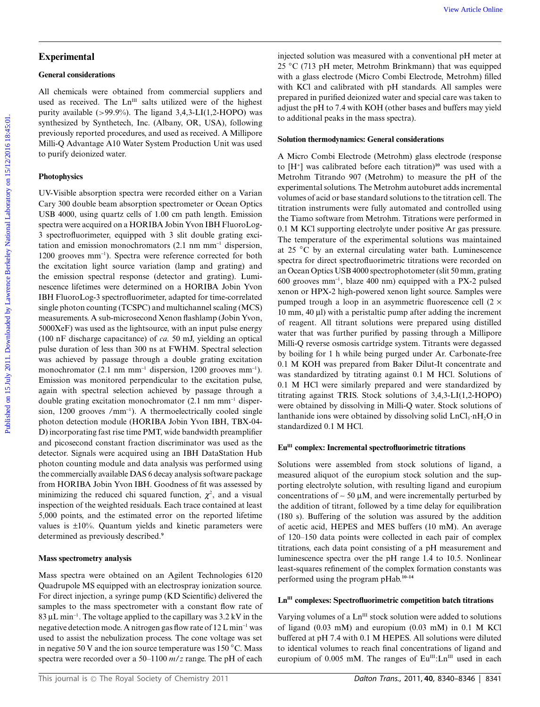#### **General considerations**

All chemicals were obtained from commercial suppliers and used as received. The Ln<sup>III</sup> salts utilized were of the highest purity available  $(>99.9\%)$ . The ligand 3,4,3-LI(1,2-HOPO) was synthesized by Synthetech, Inc. (Albany, OR, USA), following previously reported procedures, and used as received. A Millipore Milli-Q Advantage A10 Water System Production Unit was used to purify deionized water.

## **Photophysics**

UV-Visible absorption spectra were recorded either on a Varian Cary 300 double beam absorption spectrometer or Ocean Optics USB 4000, using quartz cells of 1.00 cm path length. Emission spectra were acquired on a HORIBA Jobin Yvon IBH FluoroLog-3 spectrofluorimeter, equipped with 3 slit double grating excitation and emission monochromators (2.1 nm mm-<sup>1</sup> dispersion, 1200 grooves mm<sup>-1</sup>). Spectra were reference corrected for both the excitation light source variation (lamp and grating) and the emission spectral response (detector and grating). Luminescence lifetimes were determined on a HORIBA Jobin Yvon IBH FluoroLog-3 spectrofluorimeter, adapted for time-correlated single photon counting (TCSPC) and multichannel scaling (MCS) measurements. A sub-microsecond Xenon flashlamp (Jobin Yvon, 5000XeF) was used as the lightsource, with an input pulse energy (100 nF discharge capacitance) of *ca.* 50 mJ, yielding an optical pulse duration of less than 300 ns at FWHM. Spectral selection was achieved by passage through a double grating excitation monochromator  $(2.1 \text{ nm mm}^{-1})$  dispersion, 1200 grooves mm<sup>-1</sup>). Emission was monitored perpendicular to the excitation pulse, again with spectral selection achieved by passage through a double grating excitation monochromator (2.1 nm mm-<sup>1</sup> dispersion, 1200 grooves /mm<sup>-1</sup>). A thermoelectrically cooled single photon detection module (HORIBA Jobin Yvon IBH, TBX-04- D) incorporating fast rise time PMT, wide bandwidth preamplifier and picosecond constant fraction discriminator was used as the detector. Signals were acquired using an IBH DataStation Hub photon counting module and data analysis was performed using the commercially available DAS 6 decay analysis software package from HORIBA Jobin Yvon IBH. Goodness of fit was assessed by minimizing the reduced chi squared function,  $\chi^2$ , and a visual inspection of the weighted residuals. Each trace contained at least 5,000 points, and the estimated error on the reported lifetime values is ±10%. Quantum yields and kinetic parameters were determined as previously described.**<sup>9</sup>**

## **Mass spectrometry analysis**

Mass spectra were obtained on an Agilent Technologies 6120 Quadrupole MS equipped with an electrospray ionization source. For direct injection, a syringe pump (KD Scientific) delivered the samples to the mass spectrometer with a constant flow rate of  $83 \mu L \text{ min}^{-1}$ . The voltage applied to the capillary was  $3.2 \text{ kV}$  in the negative detection mode. A nitrogen gas flow rate of 12 L min-<sup>1</sup> was used to assist the nebulization process. The cone voltage was set in negative 50 V and the ion source temperature was 150 *◦*C. Mass spectra were recorded over a 50–1100 *m*/*z* range. The pH of each

injected solution was measured with a conventional pH meter at 25 *◦*C (713 pH meter, Metrohm Brinkmann) that was equipped with a glass electrode (Micro Combi Electrode, Metrohm) filled with KCl and calibrated with pH standards. All samples were prepared in purified deionized water and special care was taken to adjust the pH to 7.4 with KOH (other bases and buffers may yield to additional peaks in the mass spectra).

## **Solution thermodynamics: General considerations**

A Micro Combi Electrode (Metrohm) glass electrode (response to [H+] was calibrated before each titration)**<sup>10</sup>** was used with a Metrohm Titrando 907 (Metrohm) to measure the pH of the experimental solutions. The Metrohm autoburet adds incremental volumes of acid or base standard solutions to the titration cell. The titration instruments were fully automated and controlled using the Tiamo software from Metrohm. Titrations were performed in 0.1 M KCl supporting electrolyte under positive Ar gas pressure. The temperature of the experimental solutions was maintained at 25 *◦*C by an external circulating water bath. Luminescence spectra for direct spectrofluorimetric titrations were recorded on an Ocean Optics USB 4000 spectrophotometer (slit 50 mm, grating 600 grooves mm-<sup>1</sup> , blaze 400 nm) equipped with a PX-2 pulsed xenon or HPX-2 high-powered xenon light source. Samples were pumped trough a loop in an asymmetric fluorescence cell  $(2 \times$ 10 mm, 40  $\mu$ I) with a peristaltic pump after adding the increment of reagent. All titrant solutions were prepared using distilled water that was further purified by passing through a Millipore Milli-Q reverse osmosis cartridge system. Titrants were degassed by boiling for 1 h while being purged under Ar. Carbonate-free 0.1 M KOH was prepared from Baker Dilut-It concentrate and was standardized by titrating against 0.1 M HCl. Solutions of 0.1 M HCl were similarly prepared and were standardized by titrating against TRIS. Stock solutions of 3,4,3-LI(1,2-HOPO) were obtained by dissolving in Milli-Q water. Stock solutions of lanthanide ions were obtained by dissolving solid  $LnCl<sub>3</sub>·nH<sub>2</sub>O$  in standardized 0.1 M HCl. Figures of the Article on 15 July 2011. The methods of the Article of the Article of the Article of the Article of the Article of the Article of the Article of the Article of the Article of the Article of the Article of t

## Eu<sup>III</sup> complex: Incremental spectrofluorimetric titrations

Solutions were assembled from stock solutions of ligand, a measured aliquot of the europium stock solution and the supporting electrolyte solution, with resulting ligand and europium concentrations of  $\sim$  50  $\mu$ M, and were incrementally perturbed by the addition of titrant, followed by a time delay for equilibration (180 s). Buffering of the solution was assured by the addition of acetic acid, HEPES and MES buffers (10 mM). An average of 120–150 data points were collected in each pair of complex titrations, each data point consisting of a pH measurement and luminescence spectra over the pH range 1.4 to 10.5. Nonlinear least-squares refinement of the complex formation constants was performed using the program pHab.**10–14**

## **LnIII complexes: Spectrofluorimetric competition batch titrations**

Varying volumes of a Ln<sup>III</sup> stock solution were added to solutions of ligand (0.03 mM) and europium (0.03 mM) in 0.1 M KCl buffered at pH 7.4 with 0.1 M HEPES. All solutions were diluted to identical volumes to reach final concentrations of ligand and europium of 0.005 mM. The ranges of Eu<sup>III</sup>:Ln<sup>III</sup> used in each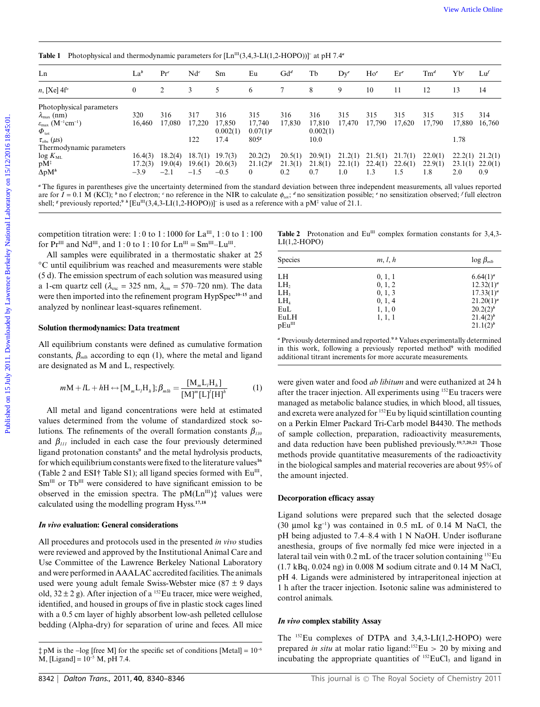**Table 1** Photophysical and thermodynamic parameters for  $[Ln^{III}(3,4,3-L1(1,2-HOPO))]$  at pH 7.4<sup>*a*</sup>

| Ln                                                                                                                                                                                                                                                                                                                                                                                                                                                                   | La <sup>b</sup>   | Pr <sup>c</sup>                        | $Nd^c$            | Sm                                                                      | Eu                                   | $Gd^d$                    | Tb                        | $Dy^e$ | $Ho^e$                      | Er <sup>e</sup>                                 | $\mathrm{Tm}^d$                                                                                                                                      | $Yb^c$               | $L\nu$                                                               |
|----------------------------------------------------------------------------------------------------------------------------------------------------------------------------------------------------------------------------------------------------------------------------------------------------------------------------------------------------------------------------------------------------------------------------------------------------------------------|-------------------|----------------------------------------|-------------------|-------------------------------------------------------------------------|--------------------------------------|---------------------------|---------------------------|--------|-----------------------------|-------------------------------------------------|------------------------------------------------------------------------------------------------------------------------------------------------------|----------------------|----------------------------------------------------------------------|
| $n$ , [Xe] $4f^n$                                                                                                                                                                                                                                                                                                                                                                                                                                                    | $\boldsymbol{0}$  | 2                                      | 3                 | 5                                                                       | 6                                    | 7                         | 8                         | 9      | 10                          | 11                                              | 12                                                                                                                                                   | 13                   | 14                                                                   |
| Photophysical parameters<br>$\lambda_{\max}$ (nm)<br>$\varepsilon_{\text{max}}$ (M <sup>-1</sup> cm <sup>-1</sup> )                                                                                                                                                                                                                                                                                                                                                  | 320<br>16,460     | 316<br>17,080                          | 317<br>17,220     | 316<br>17,850<br>0.002(1)                                               | 315<br>17,740<br>$0.07(1)^{g}$       | 316<br>17,830             | 316<br>17,810<br>0.002(1) | 315    | 315<br>17,470 17,790 17,620 | 315                                             | 315<br>17,790                                                                                                                                        | 315<br>17,880 16,760 | 314                                                                  |
| $\boldsymbol{\varPhi}_{\mathrm{tot}}$<br>$\tau_{\rm obs}$ ( $\mu$ s)<br>Thermodynamic parameters                                                                                                                                                                                                                                                                                                                                                                     |                   |                                        | 122               | 17.4                                                                    | 805                                  |                           | 10.0                      |        |                             |                                                 |                                                                                                                                                      | 1.78                 |                                                                      |
| $log K_{ML}$<br>$pM^{\ddagger}$<br>$\Delta$ p $M^h$                                                                                                                                                                                                                                                                                                                                                                                                                  | 17.2(3)<br>$-3.9$ | $16.4(3)$ 18.2(4)<br>19.0(4)<br>$-2.1$ | 19.6(1)<br>$-1.5$ | $18.7(1)$ 19.7(3)<br>20.6(3)<br>$-0.5$                                  | 20.2(2)<br>$21.1(2)^{g}$<br>$\theta$ | 20.5(1)<br>21.3(1)<br>0.2 | 20.9(1)<br>21.8(1)<br>0.7 | 1.0    | $22.1(1)$ $22.4(1)$<br>1.3  | $21.2(1)$ $21.5(1)$ $21.7(1)$<br>22.6(1)<br>1.5 | 22.0(1)<br>22.9(1)<br>1.8                                                                                                                            | 2.0                  | $22.2(1)$ $21.2(1)$<br>$23.1(1)$ $22.0(1)$<br>0.9                    |
| All samples were equilibrated in a thermostatic shaker at 25                                                                                                                                                                                                                                                                                                                                                                                                         |                   |                                        |                   | competition titration were: 1:0 to 1:1000 for $La^{III}$ , 1:0 to 1:100 |                                      | $LI(1,2-HOPO)$            |                           |        |                             |                                                 | <b>Table 2</b> Protonation and $Eu^{III}$ complex formation constants for 3,4,3-                                                                     |                      |                                                                      |
|                                                                                                                                                                                                                                                                                                                                                                                                                                                                      |                   |                                        |                   |                                                                         |                                      | Species                   |                           |        | m, l, h                     |                                                 |                                                                                                                                                      |                      | $\log \beta_{mlh}$                                                   |
|                                                                                                                                                                                                                                                                                                                                                                                                                                                                      |                   |                                        |                   |                                                                         |                                      | LH                        |                           |        | 0, 1, 1                     |                                                 |                                                                                                                                                      |                      | $6.64(1)^a$                                                          |
|                                                                                                                                                                                                                                                                                                                                                                                                                                                                      |                   |                                        |                   |                                                                         |                                      | LH,                       |                           |        | 0, 1, 2                     |                                                 |                                                                                                                                                      |                      |                                                                      |
|                                                                                                                                                                                                                                                                                                                                                                                                                                                                      |                   |                                        |                   |                                                                         |                                      | LH,<br>LH <sub>4</sub>    |                           |        | 0, 1, 3<br>0, 1, 4          |                                                 |                                                                                                                                                      |                      |                                                                      |
| for $Pr^{III}$ and $Nd^{III}$ , and 1:0 to 1:10 for $Ln^{III} = Sm^{III} - Lu^{III}$ .<br>°C until equilibrium was reached and measurements were stable<br>(5 d). The emission spectrum of each solution was measured using<br>a 1-cm quartz cell ( $\lambda_{\text{exc}} = 325$ nm, $\lambda_{\text{em}} = 570-720$ nm). The data<br>were then imported into the refinement program HypSpec <sup>10-15</sup> and<br>analyzed by nonlinear least-squares refinement. |                   |                                        |                   |                                                                         |                                      | EuL                       |                           |        | 1, 1, 0                     |                                                 |                                                                                                                                                      |                      | $12.32(1)^a$<br>$17.33(1)^a$<br>$21.20(1)^a$<br>20.2(2) <sup>b</sup> |
|                                                                                                                                                                                                                                                                                                                                                                                                                                                                      |                   |                                        |                   |                                                                         |                                      | EuLH<br>$pEu^{III}$       |                           |        | 1, 1, 1                     |                                                 |                                                                                                                                                      |                      | 21.4(2) <sup>b</sup><br>21.1(2) <sup>b</sup>                         |
|                                                                                                                                                                                                                                                                                                                                                                                                                                                                      |                   |                                        |                   |                                                                         |                                      |                           |                           |        |                             |                                                 | " Previously determined and reported. <sup>9</sup> b Values experimentally determined                                                                |                      |                                                                      |
| Solution thermodynamics: Data treatment<br>All equilibrium constants were defined as cumulative formation<br>constants, $\beta_{mlh}$ according to eqn (1), where the metal and ligand<br>are designated as M and L, respectively.                                                                                                                                                                                                                                   |                   |                                        |                   |                                                                         |                                      |                           |                           |        |                             |                                                 | in this work, following a previously reported method <sup>9</sup> with modified<br>additional titrant increments for more accurate measurements.     |                      |                                                                      |
| $mM + lL + hH \leftrightarrow [M_m L_l H_h]; \beta_{mlh} = \frac{[M_m L_l H_h]}{[M]^m [L_l]^l [H_l]^h}$                                                                                                                                                                                                                                                                                                                                                              |                   |                                        |                   |                                                                         | (1)                                  |                           |                           |        |                             |                                                 | were given water and food ab libitum and were euthanized at 24 h<br>after the tracer injection. All experiments using <sup>152</sup> Eu tracers were |                      |                                                                      |
|                                                                                                                                                                                                                                                                                                                                                                                                                                                                      |                   |                                        |                   |                                                                         |                                      |                           |                           |        |                             |                                                 | managed as metabolic balance studies, in which blood, all tissues,                                                                                   |                      |                                                                      |
| All metal and ligand concentrations were held at estimated<br>values determined from the volume of standardized stock so-                                                                                                                                                                                                                                                                                                                                            |                   |                                        |                   |                                                                         |                                      |                           |                           |        |                             |                                                 | and excreta were analyzed for <sup>152</sup> Eu by liquid scintillation counting<br>on a Perkin Elmer Packard Tri-Carb model B4430. The methods      |                      |                                                                      |

#### **Solution thermodynamics: Data treatment**

$$
mM + IL + hH \leftrightarrow [M_m L_l H_h]; \beta_{mlh} = \frac{[M_m L_l H_h]}{[M]^m [L]^l [H]^h}
$$
 (1)

All metal and ligand concentrations were held at estimated values determined from the volume of standardized stock solutions. The refinements of the overall formation constants  $\beta_{110}$ and  $\beta_{III}$  included in each case the four previously determined ligand protonation constants**<sup>9</sup>** and the metal hydrolysis products, for which equilibrium constants were fixed to the literature values**<sup>16</sup>** (Table 2 and ESI† Table S1); all ligand species formed with  $Eu^{III}$ , Sm<sup>III</sup> or Tb<sup>III</sup> were considered to have significant emission to be observed in the emission spectra. The  $pM(Ln^{III})$ <sup>#</sup> values were calculated using the modelling program Hyss.**17,18**

#### *In vivo* **evaluation: General considerations**

All procedures and protocols used in the presented *in vivo* studies were reviewed and approved by the Institutional Animal Care and Use Committee of the Lawrence Berkeley National Laboratory and were performed in AAALAC accredited facilities. The animals used were young adult female Swiss-Webster mice (87 ± 9 days old,  $32 \pm 2$  g). After injection of a <sup>152</sup>Eu tracer, mice were weighed, identified, and housed in groups of five in plastic stock cages lined with a 0.5 cm layer of highly absorbent low-ash pelleted cellulose bedding (Alpha-dry) for separation of urine and feces. All mice

**Table 2** Protonation and  $Eu^{III}$  complex formation constants for 3,4,3-LI(1,2-HOPO)

| <b>Species</b>  | m, l, h | $\log \beta_{mlh}$   |  |  |  |
|-----------------|---------|----------------------|--|--|--|
|                 |         |                      |  |  |  |
| LH              | 0, 1, 1 | $6.64(1)^a$          |  |  |  |
| LH <sub>2</sub> | 0, 1, 2 | $12.32(1)^a$         |  |  |  |
| LH <sub>3</sub> | 0, 1, 3 | $17.33(1)^a$         |  |  |  |
| LH <sub>4</sub> | 0, 1, 4 | $21.20(1)^a$         |  |  |  |
| EuL             | 1, 1, 0 | 20.2(2) <sup>b</sup> |  |  |  |
| EuLH            | 1, 1, 1 | $21.4(2)^b$          |  |  |  |
| $pEu^{III}$     |         | 21.1(2) <sup>b</sup> |  |  |  |

were given water and food *ab libitum* and were euthanized at 24 h after the tracer injection. All experiments using 152Eu tracers were managed as metabolic balance studies, in which blood, all tissues, and excreta were analyzed for 152Eu by liquid scintillation counting on a Perkin Elmer Packard Tri-Carb model B4430. The methods of sample collection, preparation, radioactivity measurements, and data reduction have been published previously.**19,7,20,21** Those methods provide quantitative measurements of the radioactivity in the biological samples and material recoveries are about 95% of the amount injected.

#### **Decorporation efficacy assay**

Ligand solutions were prepared such that the selected dosage (30  $\mu$ mol kg<sup>-1</sup>) was contained in 0.5 mL of 0.14 M NaCl, the pH being adjusted to 7.4–8.4 with 1 N NaOH. Under isoflurane anesthesia, groups of five normally fed mice were injected in a lateral tail vein with 0.2 mL of the tracer solution containing <sup>152</sup>Eu (1.7 kBq, 0.024 ng) in 0.008 M sodium citrate and 0.14 M NaCl, pH 4. Ligands were administered by intraperitoneal injection at 1 h after the tracer injection. Isotonic saline was administered to control animals.

#### *In vivo* **complex stability Assay**

The 152Eu complexes of DTPA and 3,4,3-LI(1,2-HOPO) were prepared *in situ* at molar ratio ligand:<sup>152</sup>Eu > 20 by mixing and incubating the appropriate quantities of <sup>152</sup>EuCl<sub>3</sub> and ligand in

 $\ddagger$  pM is the -log [free M] for the specific set of conditions [Metal] =  $10^{-6}$  $M$ , [Ligand] =  $10^{-5}$  M, pH 7.4.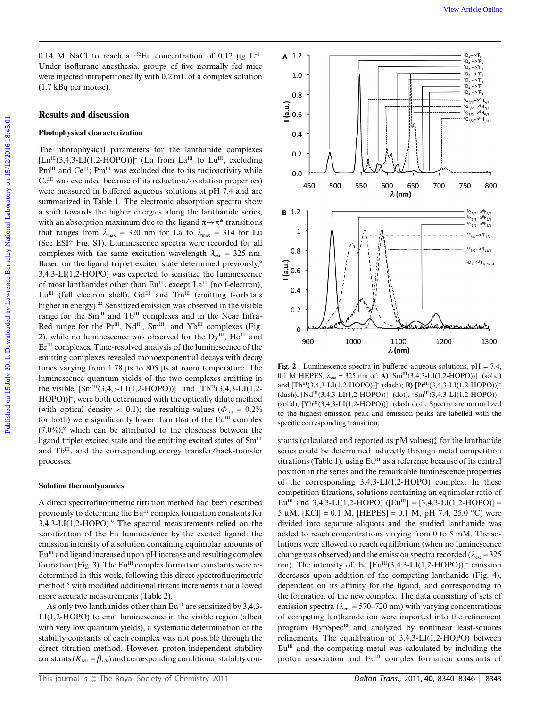0.14 M NaCl to reach a  $^{152}$ Eu concentration of 0.12  $\mu$ g L<sup>-1</sup>. Under isoflurane anesthesia, groups of five normally fed mice were injected intraperitoneally with 0.2 mL of a complex solution (1.7 kBq per mouse).

#### **Results and discussion**

#### **Photophysical characterization**

The photophysical parameters for the lanthanide complexes  $[Ln^{III}(3,4,3-LI(1,2-HOPO))]$ <sup>-</sup> (Ln from La<sup>III</sup> to Lu<sup>III</sup>, excluding Pm<sup>III</sup> and Ce<sup>III</sup>; Pm<sup>III</sup> was excluded due to its radioactivity while  $Ce^{III}$  was excluded because of its reduction/oxidation properties) were measured in buffered aqueous solutions at pH 7.4 and are summarized in Table 1. The electronic absorption spectra show a shift towards the higher energies along the lanthanide series, with an absorption maximum due to the ligand  $\pi \rightarrow \pi^*$  transitions that ranges from  $\lambda_{\text{max}} = 320$  nm for La to  $\lambda_{\text{max}} = 314$  for Lu (See ESI† Fig. S1). Luminescence spectra were recorded for all complexes with the same excitation wavelength  $\lambda_{\rm exc} = 325$  nm. Based on the ligand triplet excited state determined previously,**<sup>9</sup>** 3,4,3-LI(1,2-HOPO) was expected to sensitize the luminescence of most lanthanides other than  $Eu^{III}$ , except  $La^{III}$  (no f-electron),  $Lu^{III}$  (full electron shell),  $Gd^{III}$  and  $Tm^{III}$  (emitting f-orbitals higher in energy).**<sup>22</sup>** Sensitized emission was observed in the visible range for the Sm<sup>III</sup> and Tb<sup>III</sup> complexes and in the Near Infra-Red range for the Pr<sup>III</sup>, Nd<sup>III</sup>, Sm<sup>III</sup>, and Yb<sup>III</sup> complexes (Fig. 2), while no luminescence was observed for the  $Dy^{\text{III}}$ ,  $Ho^{\text{III}}$  and Er<sup>III</sup> complexes. Time-resolved analysis of the luminescence of the emitting complexes revealed monoexponential decays with decay times varying from  $1.78 \mu s$  to  $805 \mu s$  at room temperature. The luminescence quantum yields of the two complexes emitting in the visible,  $[\text{Sm}^{\text{III}}(3,4,3-LI(1,2-HOPO))]$ <sup>-</sup> and  $[\text{Tb}^{\text{III}}(3,4,3-LI(1,2-LI(1,2-HOPO))]$ <sup>-</sup> HOPO))]- , were both determined with the optically dilute method (with optical density  $< 0.1$ ); the resulting values ( $\Phi_{\text{tot}} = 0.2\%$ for both) were significantly lower than that of the  $Eu^{III}$  complex (7.0%),**<sup>9</sup>** which can be attributed to the closeness between the ligand triplet excited state and the emitting excited states of  $Sm<sup>III</sup>$ and Tb<sup>III</sup>, and the corresponding energy transfer/back-transfer processes.

#### **Solution thermodynamics**

A direct spectrofluorimetric titration method had been described previously to determine the  $Eu^{III}$  complex formation constants for 3,4,3-LI(1,2-HOPO).**<sup>9</sup>** The spectral measurements relied on the sensitization of the Eu luminescence by the excited ligand: the emission intensity of a solution containing equimolar amounts of Eu<sup>III</sup> and ligand increased upon pH increase and resulting complex formation (Fig. 3). The  $Eu^{III}$  complex formation constants were redetermined in this work, following this direct spectrofluorimetric method,**<sup>9</sup>** with modified additional titrant increments that allowed more accurate measurements (Table 2).

As only two lanthanides other than  $Eu^{III}$  are sensitized by 3,4,3-LI(1,2-HOPO) to emit luminescence in the visible region (albeit with very low quantum yields), a systematic determination of the stability constants of each complex was not possible through the direct titration method. However, proton-independent stability constants  $(K_{ML} = \beta_{110})$  and corresponding conditional stability con-



**Fig. 2** Luminescence spectra in buffered aqueous solutions, pH = 7.4, 0.1 M HEPES,  $\lambda_{\text{exc}} = 325 \text{ nm of: A}$  [Sm<sup>III</sup>(3,4,3-LI(1,2-HOPO))]<sup>-</sup> (solid) and  $[Tb^{III}(3,4,3-LI(1,2-HOPO))]^-$  (dash); **B)**  $[Pr^{III}(3,4,3-LI(1,2-HOPO))]^ (dash), [Nd<sup>III</sup>(3,4,3-LI(1,2-HOPO))]$ <sup>-</sup> (dot),  $[Sm<sup>III</sup>(3,4,3-LI(1,2-HOPO))]$ <sup>-</sup> (solid),  $[Yb^{III}(3,4,3-LI(1,2-HOPO))]$ <sup>-</sup> (dash dot). Spectra are normalized to the highest emission peak and emission peaks are labelled with the specific corresponding transition.

stants (calculated and reported as pM values)‡ for the lanthanide series could be determined indirectly through metal competition titrations (Table 1), using  $Eu^{III}$  as a reference because of its central position in the series and the remarkable luminescence properties of the corresponding 3,4,3-LI(1,2-HOPO) complex. In these competition titrations, solutions containing an equimolar ratio of Eu<sup>III</sup> and 3,4,3-LI(1,2-HOPO) ([Eu<sup>III</sup>] = [3,4,3-LI(1,2-HOPO)] = 5  $\mu$ M, [KCl] = 0.1 M, [HEPES] = 0.1 M, pH 7.4, 25.0 <sup>°</sup>C) were divided into separate aliquots and the studied lanthanide was added to reach concentrations varying from 0 to 5 mM. The solutions were allowed to reach equilibrium (when no luminescence change was observed) and the emission spectra recorded ( $\lambda_{\text{exc}} = 325$ nm). The intensity of the  $[Eu^{III}(3,4,3-LI(1,2-HOPO))]^-$  emission decreases upon addition of the competing lanthanide (Fig. 4), dependent on its affinity for the ligand, and corresponding to the formation of the new complex. The data consisting of sets of emission spectra ( $\lambda_{em}$  = 570–720 nm) with varying concentrations of competing lanthanide ion were imported into the refinement program HypSpec**<sup>15</sup>** and analyzed by nonlinear least-squares refinements. The equilibration of 3,4,3-LI(1,2-HOPO) between  $Eu<sup>III</sup>$  and the competing metal was calculated by including the proton association and  $Eu^{III}$  complex formation constants of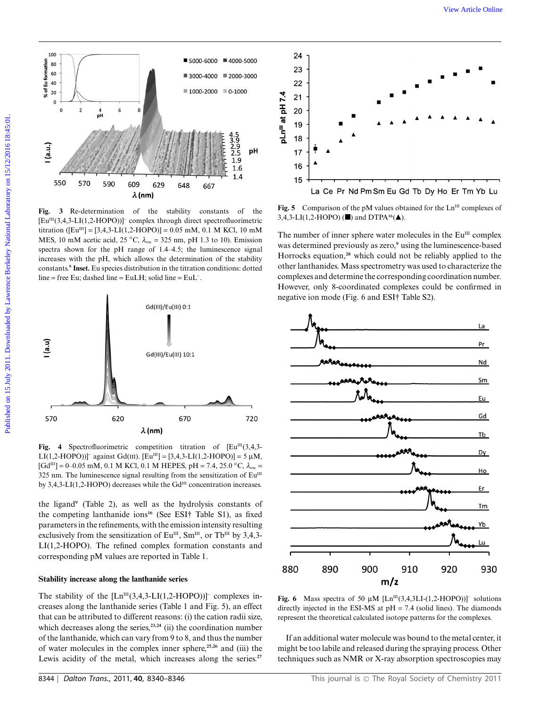

**Fig. 3** Re-determination of the stability constants of the  $[Eu^{III}(3,4,3-LI(1,2-HOPO))]$ <sup>-</sup> complex through direct spectrofluorimetric titration ( $[Eu^{III}] = [3,4,3-LI(1,2-HOPO)] = 0.05$  mM, 0.1 M KCl, 10 mM MES, 10 mM acetic acid, 25  $\rm{°C}$ ,  $\lambda_{\rm{exc}}$  = 325 nm, pH 1.3 to 10). Emission spectra shown for the pH range of 1.4–4.5; the luminescence signal increases with the pH, which allows the determination of the stability constants.**<sup>9</sup> Inset.** Eu species distribution in the titration conditions: dotted line = free Eu; dashed line = EuLH; solid line =  $EuL^-$ .



Fig. 4 Spectrofluorimetric competition titration of  $[Eu^{III}(3,4,3-1)]$ LI(1,2-HOPO))]<sup>-</sup> against Gd(III). [Eu<sup>III</sup>] = [3,4,3-LI(1,2-HOPO)] = 5 µM,  $[Gd^{III}] = 0-0.05$  mM, 0.1 M KCl, 0.1 M HEPES, pH = 7.4, 25.0  $\degree$ C,  $\lambda_{exc}$  = 325 nm. The luminescence signal resulting from the sensitization of  $Eu^{III}$ by 3,4,3-LI(1,2-HOPO) decreases while the  $Gd^{III}$  concentration increases.

the ligand**<sup>9</sup>** (Table 2), as well as the hydrolysis constants of the competing lanthanide ions**<sup>16</sup>** (See ESI† Table S1), as fixed parameters in the refinements, with the emission intensity resulting exclusively from the sensitization of  $Eu^{III}$ ,  $Sm^{III}$ , or Tb<sup>III</sup> by 3,4,3-LI(1,2-HOPO). The refined complex formation constants and corresponding pM values are reported in Table 1.

## **Stability increase along the lanthanide series**

The stability of the  $[Ln^{III}(3,4,3-LI(1,2-HOPO))]$ - complexes increases along the lanthanide series (Table 1 and Fig. 5), an effect that can be attributed to different reasons: (i) the cation radii size, which decreases along the series,<sup>23,24</sup> (ii) the coordination number of the lanthanide, which can vary from 9 to 8, and thus the number of water molecules in the complex inner sphere,**25,26** and (iii) the Lewis acidity of the metal, which increases along the series.**<sup>27</sup>**



**Fig. 5** Comparison of the pM values obtained for the  $Ln^{III}$  complexes of 3,4,3-LI(1,2-HOPO) (■) and DTPA<sup>16</sup>(▲).

The number of inner sphere water molecules in the  $Eu^{III}$  complex was determined previously as zero,**<sup>9</sup>** using the luminescence-based Horrocks equation,**<sup>28</sup>** which could not be reliably applied to the other lanthanides. Mass spectrometry was used to characterize the complexes and determine the corresponding coordination number. However, only 8-coordinated complexes could be confirmed in negative ion mode (Fig. 6 and ESI† Table S2).



**Fig. 6** Mass spectra of 50  $\mu$ M [Ln<sup>III</sup>(3,4,3LI-(1,2-HOPO))]<sup>-</sup> solutions directly injected in the ESI-MS at  $pH = 7.4$  (solid lines). The diamonds represent the theoretical calculated isotope patterns for the complexes.

If an additional water molecule was bound to the metal center, it might be too labile and released during the spraying process. Other techniques such as NMR or X-ray absorption spectroscopies may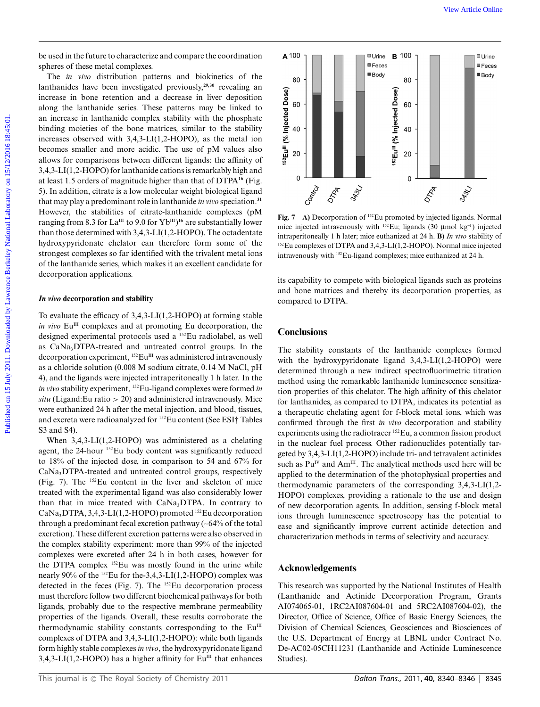be used in the future to characterize and compare the coordination spheres of these metal complexes.

The *in vivo* distribution patterns and biokinetics of the lanthanides have been investigated previously,**29,30** revealing an increase in bone retention and a decrease in liver deposition along the lanthanide series. These patterns may be linked to an increase in lanthanide complex stability with the phosphate binding moieties of the bone matrices, similar to the stability increases observed with 3,4,3-LI(1,2-HOPO), as the metal ion becomes smaller and more acidic. The use of pM values also allows for comparisons between different ligands: the affinity of 3,4,3-LI(1,2-HOPO) for lanthanide cations is remarkably high and at least 1.5 orders of magnitude higher than that of DTPA**<sup>16</sup>** (Fig. 5). In addition, citrate is a low molecular weight biological ligand that may play a predominant role in lanthanide *in vivo* speciation.**<sup>31</sup>** However, the stabilities of citrate-lanthanide complexes (pM ranging from 8.3 for  $\mathrm{La^{III}}$  to 9.0 for  $\mathrm{Yb^{III}}$ <sup>16</sup> are substantially lower than those determined with 3,4,3-LI(1,2-HOPO). The octadentate hydroxypyridonate chelator can therefore form some of the strongest complexes so far identified with the trivalent metal ions of the lanthanide series, which makes it an excellent candidate for decorporation applications. Put and in the following characterized correspondents of the term in the specific on  $\frac{1}{2}$  and the fundace has the specific on the specific on the specific online and the specific online and the specific online and th

#### *In vivo* **decorporation and stability**

To evaluate the efficacy of 3,4,3-LI(1,2-HOPO) at forming stable *in vivo* Eu<sup>III</sup> complexes and at promoting Eu decorporation, the designed experimental protocols used a 152Eu radiolabel, as well as CaNa<sub>3</sub>DTPA-treated and untreated control groups. In the decorporation experiment, <sup>152</sup>Eu<sup>III</sup> was administered intravenously as a chloride solution (0.008 M sodium citrate, 0.14 M NaCl, pH 4), and the ligands were injected intraperitoneally 1 h later. In the *in vivo* stability experiment, 152Eu-ligand complexes were formed *in*  $situ$  (Ligand:Eu ratio  $> 20$ ) and administered intravenously. Mice were euthanized 24 h after the metal injection, and blood, tissues, and excreta were radioanalyzed for 152Eu content (See ESI† Tables S3 and S4).

When 3,4,3-LI(1,2-HOPO) was administered as a chelating agent, the 24-hour <sup>152</sup>Eu body content was significantly reduced to 18% of the injected dose, in comparison to 54 and 67% for CaNa<sub>3</sub>DTPA-treated and untreated control groups, respectively (Fig. 7). The 152Eu content in the liver and skeleton of mice treated with the experimental ligand was also considerably lower than that in mice treated with CaNa<sub>3</sub>DTPA. In contrary to  $CaNa<sub>3</sub>DTPA$ , 3,4,3-LI(1,2-HOPO) promoted <sup>152</sup>Eu decorporation through a predominant fecal excretion pathway (~64% of the total excretion). These different excretion patterns were also observed in the complex stability experiment: more than 99% of the injected complexes were excreted after 24 h in both cases, however for the DTPA complex <sup>152</sup>Eu was mostly found in the urine while nearly 90% of the 152Eu for the-3,4,3-LI(1,2-HOPO) complex was detected in the feces (Fig. 7). The <sup>152</sup>Eu decorporation process must therefore follow two different biochemical pathways for both ligands, probably due to the respective membrane permeability properties of the ligands. Overall, these results corroborate the thermodynamic stability constants corresponding to the Eu<sup>III</sup> complexes of DTPA and 3,4,3-LI(1,2-HOPO): while both ligands form highly stable complexes*in vivo*, the hydroxypyridonate ligand 3,4,3-LI(1,2-HOPO) has a higher affinity for  $Eu^{III}$  that enhances



Fig. 7 A) Decorporation of <sup>152</sup>Eu promoted by injected ligands. Normal mice injected intravenously with  $^{152}$ Eu; ligands (30 µmol kg<sup>-1</sup>) injected intraperitoneally 1 h later; mice euthanized at 24 h. **B)** *In vivo* stability of <sup>152</sup>Eu complexes of DTPA and 3,4,3-LI(1,2-HOPO). Normal mice injected intravenously with 152Eu-ligand complexes; mice euthanized at 24 h.

its capability to compete with biological ligands such as proteins and bone matrices and thereby its decorporation properties, as compared to DTPA.

#### **Conclusions**

The stability constants of the lanthanide complexes formed with the hydroxypyridonate ligand 3,4,3-LI(1,2-HOPO) were determined through a new indirect spectrofluorimetric titration method using the remarkable lanthanide luminescence sensitization properties of this chelator. The high affinity of this chelator for lanthanides, as compared to DTPA, indicates its potential as a therapeutic chelating agent for f-block metal ions, which was confirmed through the first *in vivo* decorporation and stability experiments using the radiotracer 152Eu, a common fission product in the nuclear fuel process. Other radionuclides potentially targeted by 3,4,3-LI(1,2-HOPO) include tri- and tetravalent actinides such as  $Pu<sup>IV</sup>$  and Am<sup>III</sup>. The analytical methods used here will be applied to the determination of the photophysical properties and thermodynamic parameters of the corresponding 3,4,3-LI(1,2- HOPO) complexes, providing a rationale to the use and design of new decorporation agents. In addition, sensing f-block metal ions through luminescence spectroscopy has the potential to ease and significantly improve current actinide detection and characterization methods in terms of selectivity and accuracy.

#### **Acknowledgements**

This research was supported by the National Institutes of Health (Lanthanide and Actinide Decorporation Program, Grants AI074065-01, 1RC2AI087604-01 and 5RC2AI087604-02), the Director, Office of Science, Office of Basic Energy Sciences, the Division of Chemical Sciences, Geosciences and Biosciences of the U.S. Department of Energy at LBNL under Contract No. De-AC02-05CH11231 (Lanthanide and Actinide Luminescence Studies).